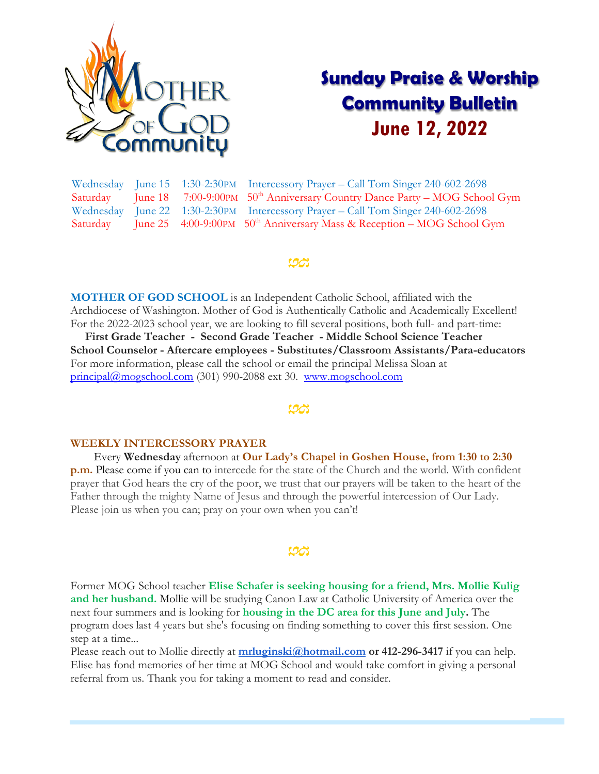

# **Sunday Praise & Worship Community Bulletin June 12, 2022**

Wednesday June 15 1:30-2:30PM Intercessory Prayer – Call Tom Singer 240-602-2698 Saturday June 18 7:00-9:00PM  $50<sup>th</sup>$  Anniversary Country Dance Party – MOG School Gym Wednesday June 22 1:30-2:30PM Intercessory Prayer – Call Tom Singer 240-602-2698 Saturday June 25  $4:00-9:00$ PM  $50<sup>th</sup>$  Anniversary Mass & Reception – MOG School Gym

### <u>UA</u>

**MOTHER OF GOD SCHOOL** is an Independent Catholic School, affiliated with the Archdiocese of Washington. Mother of God is Authentically Catholic and Academically Excellent! For the 2022-2023 school year, we are looking to fill several positions, both full- and part-time:

 **First Grade Teacher - Second Grade Teacher - Middle School Science Teacher School Counselor - Aftercare employees - Substitutes/Classroom Assistants/Para-educators** For more information, please call the school or email the principal Melissa Sloan at [principal@mogschool.com](mailto:principal@mogschool.com) (301) 990-2088 ext 30. [www.mogschool.com](file://///mogsrvc/mogc/Bulletins_SNPM/2022/www.mogschool.com)

#### **WEEKLY INTERCESSORY PRAYER**

 Every **Wednesday** afternoon at **Our Lady's Chapel in Goshen House, from 1:30 to 2:30 p.m.** Please come if you can to intercede for the state of the Church and the world. With confident prayer that God hears the cry of the poor, we trust that our prayers will be taken to the heart of the Father through the mighty Name of Jesus and through the powerful intercession of Our Lady. Please join us when you can; pray on your own when you can't!

#### ಯ

Former MOG School teacher **Elise Schafer is seeking housing for a friend, Mrs. Mollie Kulig and her husband.** Mollie will be studying Canon Law at Catholic University of America over the next four summers and is looking for **housing in the DC area for this June and July.** The program does last 4 years but she's focusing on finding something to cover this first session. One step at a time...

Please reach out to Mollie directly at **[mrluginski@hotmail.com](mailto:mrluginski@hotmail.com) or 412-296-3417** if you can help. Elise has fond memories of her time at MOG School and would take comfort in giving a personal referral from us. Thank you for taking a moment to read and consider.